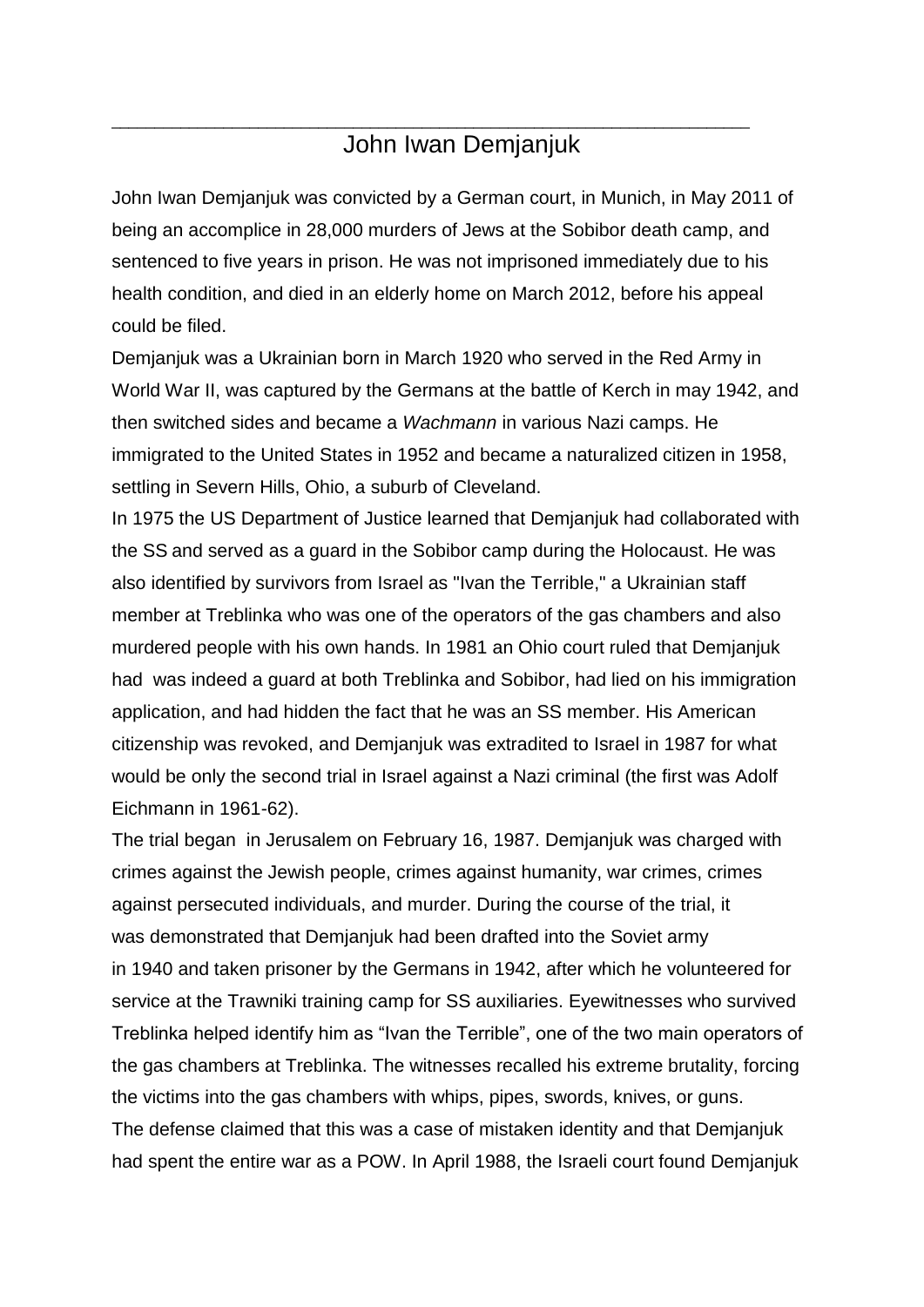## John Iwan Demjanjuk

\_\_\_\_\_\_\_\_\_\_\_\_\_\_\_\_\_\_\_\_\_\_\_\_\_\_\_\_\_\_\_\_\_\_\_\_\_\_\_\_\_\_\_\_\_\_\_\_\_\_\_\_\_\_\_\_\_\_\_\_\_\_\_\_\_\_\_\_\_\_\_\_\_\_

John Iwan Demjanjuk was convicted by a German court, in Munich, in May 2011 of being an accomplice in 28,000 murders of Jews at the Sobibor death camp, and sentenced to five years in prison. He was not imprisoned immediately due to his health condition, and died in an elderly home on March 2012, before his appeal could be filed.

Demjanjuk was a Ukrainian born in March 1920 who served in the Red Army in World War II, was captured by the Germans at the battle of Kerch in may 1942, and then switched sides and became a *Wachmann* in various Nazi camps. He immigrated to the United States in 1952 and became a naturalized citizen in 1958, settling in Severn Hills, Ohio, a suburb of Cleveland.

In 1975 the US Department of Justice learned that Demjanjuk had collaborated with the SS and served as a guard in the Sobibor camp during the Holocaust. He was also identified by survivors from Israel as "Ivan the Terrible," a Ukrainian staff member at Treblinka who was one of the operators of the gas chambers and also murdered people with his own hands. In 1981 an Ohio court ruled that Demjanjuk had was indeed a guard at both Treblinka and Sobibor, had lied on his immigration application, and had hidden the fact that he was an SS member. His American citizenship was revoked, and Demjanjuk was extradited to Israel in 1987 for what would be only the second trial in Israel against a Nazi criminal (the first was Adolf Eichmann in 1961-62).

The trial began in Jerusalem on February 16, 1987. Demjanjuk was charged with crimes against the Jewish people, crimes against humanity, war crimes, crimes against persecuted individuals, and murder. During the course of the trial, it was demonstrated that Demjanjuk had been drafted into the Soviet army in 1940 and taken prisoner by the Germans in 1942, after which he volunteered for service at the Trawniki training camp for SS auxiliaries. Eyewitnesses who survived Treblinka helped identify him as "Ivan the Terrible", one of the two main operators of the gas chambers at Treblinka. The witnesses recalled his extreme brutality, forcing the victims into the gas chambers with whips, pipes, swords, knives, or guns. The defense claimed that this was a case of mistaken identity and that Demjanjuk had spent the entire war as a POW. In April 1988, the Israeli court found Demjanjuk